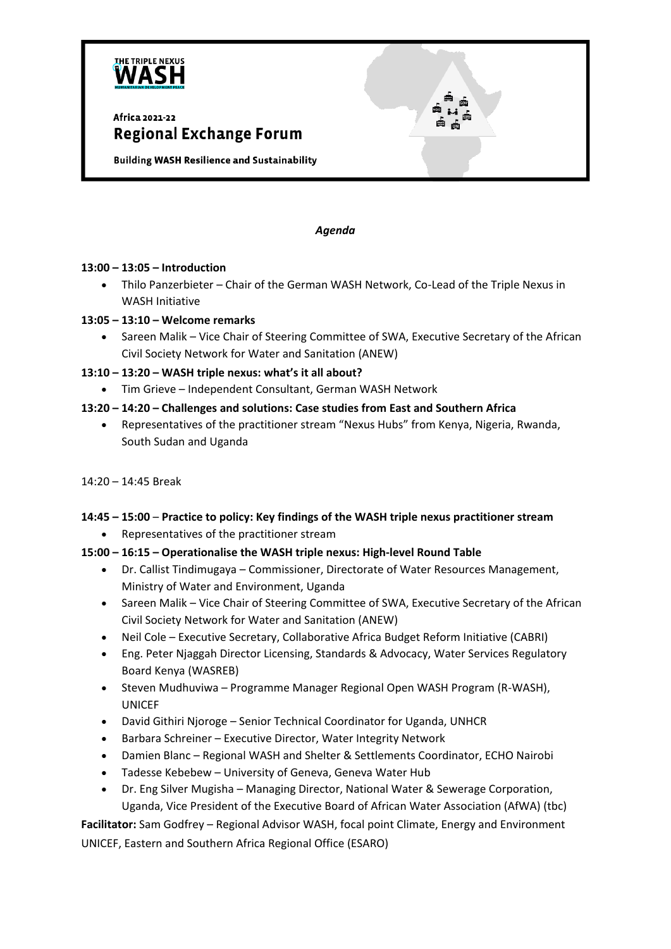

## Africa 2021-22 **Regional Exchange Forum**

**Building WASH Resilience and Sustainability** 

#### *Agenda*

#### **13:00 – 13:05 – Introduction**

• Thilo Panzerbieter – Chair of the German WASH Network, Co-Lead of the Triple Nexus in WASH Initiative

#### **13:05 – 13:10 – Welcome remarks**

- Sareen Malik Vice Chair of Steering Committee of SWA, Executive Secretary of the African Civil Society Network for Water and Sanitation (ANEW)
- **13:10 – 13:20 – WASH triple nexus: what's it all about?**
	- Tim Grieve Independent Consultant, German WASH Network

#### **13:20 – 14:20 – Challenges and solutions: Case studies from East and Southern Africa**

- Representatives of the practitioner stream "Nexus Hubs" from Kenya, Nigeria, Rwanda, South Sudan and Uganda
- 14:20 14:45 Break

# **14:45 – 15:00** – **Practice to policy: Key findings of the WASH triple nexus practitioner stream**

• Representatives of the practitioner stream

### **15:00 – 16:15 – Operationalise the WASH triple nexus: High-level Round Table**

- Dr. Callist Tindimugaya Commissioner, Directorate of Water Resources Management, Ministry of Water and Environment, Uganda
- Sareen Malik Vice Chair of Steering Committee of SWA, Executive Secretary of the African Civil Society Network for Water and Sanitation (ANEW)
- Neil Cole Executive Secretary, Collaborative Africa Budget Reform Initiative (CABRI)
- Eng. Peter Njaggah Director Licensing, Standards & Advocacy, Water Services Regulatory Board Kenya (WASREB)
- Steven Mudhuviwa Programme Manager Regional Open WASH Program (R-WASH), UNICEF
- David Githiri Njoroge Senior Technical Coordinator for Uganda, UNHCR
- Barbara Schreiner Executive Director, Water Integrity Network
- Damien Blanc Regional WASH and Shelter & Settlements Coordinator, ECHO Nairobi
- Tadesse Kebebew University of Geneva, Geneva Water Hub
- Dr. Eng Silver Mugisha Managing Director, National Water & Sewerage Corporation, Uganda, Vice President of the Executive Board of African Water Association (AfWA) (tbc)

**Facilitator:** Sam Godfrey – Regional Advisor WASH, focal point Climate, Energy and Environment UNICEF, Eastern and Southern Africa Regional Office (ESARO)